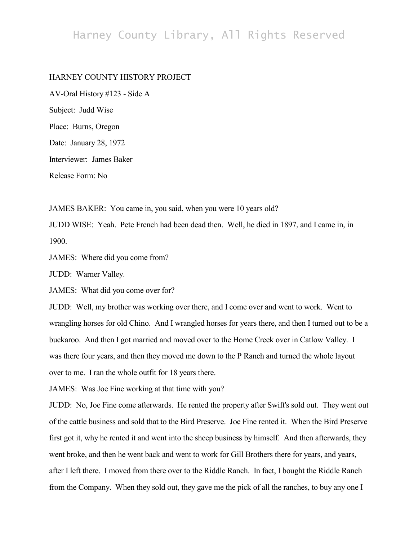## Harney County Library, All Rights Reserved

## HARNEY COUNTY HISTORY PROJECT

AV-Oral History #123 - Side A Subject: Judd Wise Place: Burns, Oregon Date: January 28, 1972 Interviewer: James Baker Release Form: No

JAMES BAKER: You came in, you said, when you were 10 years old?

JUDD WISE: Yeah. Pete French had been dead then. Well, he died in 1897, and I came in, in 1900.

JAMES: Where did you come from?

JUDD: Warner Valley.

JAMES: What did you come over for?

JUDD: Well, my brother was working over there, and I come over and went to work. Went to wrangling horses for old Chino. And I wrangled horses for years there, and then I turned out to be a buckaroo. And then I got married and moved over to the Home Creek over in Catlow Valley. I was there four years, and then they moved me down to the P Ranch and turned the whole layout over to me. I ran the whole outfit for 18 years there.

JAMES: Was Joe Fine working at that time with you?

JUDD: No, Joe Fine come afterwards. He rented the property after Swift's sold out. They went out of the cattle business and sold that to the Bird Preserve. Joe Fine rented it. When the Bird Preserve first got it, why he rented it and went into the sheep business by himself. And then afterwards, they went broke, and then he went back and went to work for Gill Brothers there for years, and years, after I left there. I moved from there over to the Riddle Ranch. In fact, I bought the Riddle Ranch from the Company. When they sold out, they gave me the pick of all the ranches, to buy any one I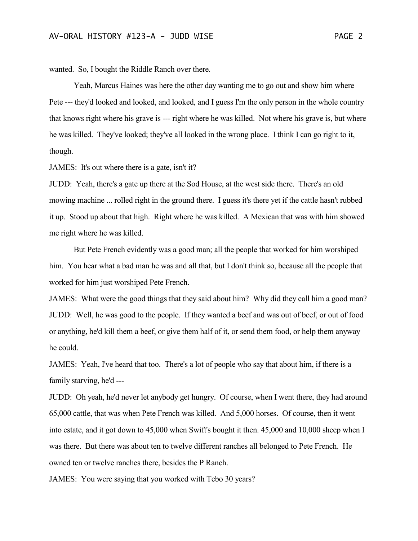wanted. So, I bought the Riddle Ranch over there.

Yeah, Marcus Haines was here the other day wanting me to go out and show him where Pete --- they'd looked and looked, and looked, and I guess I'm the only person in the whole country that knows right where his grave is --- right where he was killed. Not where his grave is, but where he was killed. They've looked; they've all looked in the wrong place. I think I can go right to it, though.

JAMES: It's out where there is a gate, isn't it?

JUDD: Yeah, there's a gate up there at the Sod House, at the west side there. There's an old mowing machine ... rolled right in the ground there. I guess it's there yet if the cattle hasn't rubbed it up. Stood up about that high. Right where he was killed. A Mexican that was with him showed me right where he was killed.

But Pete French evidently was a good man; all the people that worked for him worshiped him. You hear what a bad man he was and all that, but I don't think so, because all the people that worked for him just worshiped Pete French.

JAMES: What were the good things that they said about him? Why did they call him a good man? JUDD: Well, he was good to the people. If they wanted a beef and was out of beef, or out of food or anything, he'd kill them a beef, or give them half of it, or send them food, or help them anyway he could.

JAMES: Yeah, I've heard that too. There's a lot of people who say that about him, if there is a family starving, he'd ---

JUDD: Oh yeah, he'd never let anybody get hungry. Of course, when I went there, they had around 65,000 cattle, that was when Pete French was killed. And 5,000 horses. Of course, then it went into estate, and it got down to 45,000 when Swift's bought it then. 45,000 and 10,000 sheep when I was there. But there was about ten to twelve different ranches all belonged to Pete French. He owned ten or twelve ranches there, besides the P Ranch.

JAMES: You were saying that you worked with Tebo 30 years?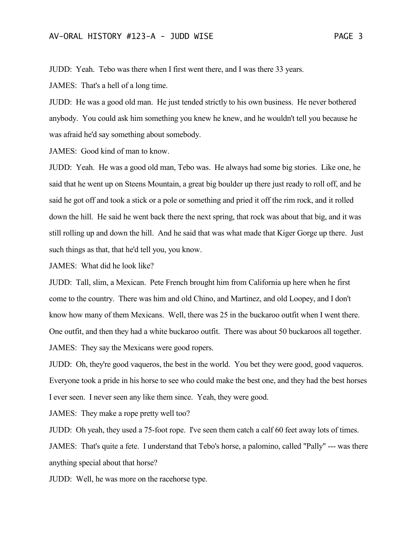JUDD: Yeah. Tebo was there when I first went there, and I was there 33 years.

JAMES: That's a hell of a long time.

JUDD: He was a good old man. He just tended strictly to his own business. He never bothered anybody. You could ask him something you knew he knew, and he wouldn't tell you because he was afraid he'd say something about somebody.

JAMES: Good kind of man to know.

JUDD: Yeah. He was a good old man, Tebo was. He always had some big stories. Like one, he said that he went up on Steens Mountain, a great big boulder up there just ready to roll off, and he said he got off and took a stick or a pole or something and pried it off the rim rock, and it rolled down the hill. He said he went back there the next spring, that rock was about that big, and it was still rolling up and down the hill. And he said that was what made that Kiger Gorge up there. Just such things as that, that he'd tell you, you know.

JAMES: What did he look like?

JUDD: Tall, slim, a Mexican. Pete French brought him from California up here when he first come to the country. There was him and old Chino, and Martinez, and old Loopey, and I don't know how many of them Mexicans. Well, there was 25 in the buckaroo outfit when I went there. One outfit, and then they had a white buckaroo outfit. There was about 50 buckaroos all together. JAMES: They say the Mexicans were good ropers.

JUDD: Oh, they're good vaqueros, the best in the world. You bet they were good, good vaqueros. Everyone took a pride in his horse to see who could make the best one, and they had the best horses I ever seen. I never seen any like them since. Yeah, they were good.

JAMES: They make a rope pretty well too?

JUDD: Oh yeah, they used a 75-foot rope. I've seen them catch a calf 60 feet away lots of times.

JAMES: That's quite a fete. I understand that Tebo's horse, a palomino, called "Pally" --- was there anything special about that horse?

JUDD: Well, he was more on the racehorse type.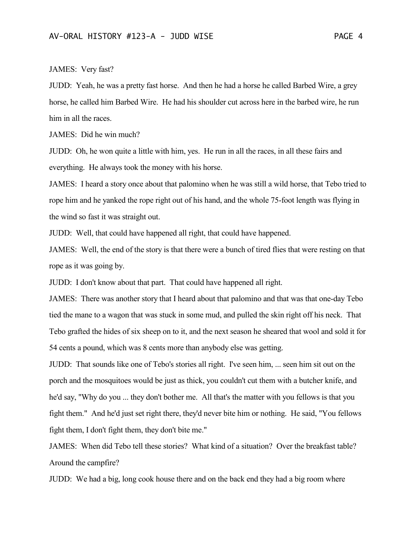## JAMES: Very fast?

JUDD: Yeah, he was a pretty fast horse. And then he had a horse he called Barbed Wire, a grey horse, he called him Barbed Wire. He had his shoulder cut across here in the barbed wire, he run him in all the races.

JAMES: Did he win much?

JUDD: Oh, he won quite a little with him, yes. He run in all the races, in all these fairs and everything. He always took the money with his horse.

JAMES: I heard a story once about that palomino when he was still a wild horse, that Tebo tried to rope him and he yanked the rope right out of his hand, and the whole 75-foot length was flying in the wind so fast it was straight out.

JUDD: Well, that could have happened all right, that could have happened.

JAMES: Well, the end of the story is that there were a bunch of tired flies that were resting on that rope as it was going by.

JUDD: I don't know about that part. That could have happened all right.

JAMES: There was another story that I heard about that palomino and that was that one-day Tebo tied the mane to a wagon that was stuck in some mud, and pulled the skin right off his neck. That Tebo grafted the hides of six sheep on to it, and the next season he sheared that wool and sold it for 54 cents a pound, which was 8 cents more than anybody else was getting.

JUDD: That sounds like one of Tebo's stories all right. I've seen him, ... seen him sit out on the porch and the mosquitoes would be just as thick, you couldn't cut them with a butcher knife, and he'd say, "Why do you ... they don't bother me. All that's the matter with you fellows is that you fight them." And he'd just set right there, they'd never bite him or nothing. He said, "You fellows fight them, I don't fight them, they don't bite me."

JAMES: When did Tebo tell these stories? What kind of a situation? Over the breakfast table? Around the campfire?

JUDD: We had a big, long cook house there and on the back end they had a big room where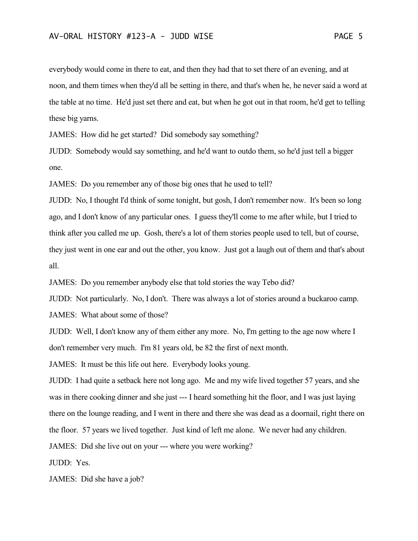everybody would come in there to eat, and then they had that to set there of an evening, and at noon, and them times when they'd all be setting in there, and that's when he, he never said a word at the table at no time. He'd just set there and eat, but when he got out in that room, he'd get to telling these big yarns.

JAMES: How did he get started? Did somebody say something?

JUDD: Somebody would say something, and he'd want to outdo them, so he'd just tell a bigger one.

JAMES: Do you remember any of those big ones that he used to tell?

JUDD: No, I thought I'd think of some tonight, but gosh, I don't remember now. It's been so long ago, and I don't know of any particular ones. I guess they'll come to me after while, but I tried to think after you called me up. Gosh, there's a lot of them stories people used to tell, but of course, they just went in one ear and out the other, you know. Just got a laugh out of them and that's about all.

JAMES: Do you remember anybody else that told stories the way Tebo did?

JUDD: Not particularly. No, I don't. There was always a lot of stories around a buckaroo camp. JAMES: What about some of those?

JUDD: Well, I don't know any of them either any more. No, I'm getting to the age now where I don't remember very much. I'm 81 years old, be 82 the first of next month.

JAMES: It must be this life out here. Everybody looks young.

JUDD: I had quite a setback here not long ago. Me and my wife lived together 57 years, and she was in there cooking dinner and she just --- I heard something hit the floor, and I was just laying there on the lounge reading, and I went in there and there she was dead as a doornail, right there on the floor. 57 years we lived together. Just kind of left me alone. We never had any children. JAMES: Did she live out on your --- where you were working?

JUDD: Yes.

JAMES: Did she have a job?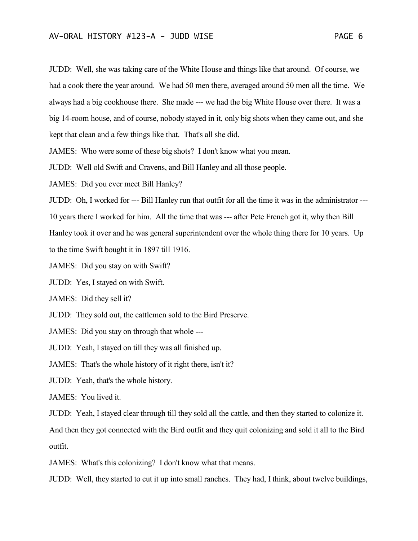JUDD: Well, she was taking care of the White House and things like that around. Of course, we had a cook there the year around. We had 50 men there, averaged around 50 men all the time. We always had a big cookhouse there. She made --- we had the big White House over there. It was a big 14-room house, and of course, nobody stayed in it, only big shots when they came out, and she kept that clean and a few things like that. That's all she did.

JAMES: Who were some of these big shots? I don't know what you mean.

JUDD: Well old Swift and Cravens, and Bill Hanley and all those people.

JAMES: Did you ever meet Bill Hanley?

JUDD: Oh, I worked for --- Bill Hanley run that outfit for all the time it was in the administrator --- 10 years there I worked for him. All the time that was --- after Pete French got it, why then Bill

Hanley took it over and he was general superintendent over the whole thing there for 10 years. Up

to the time Swift bought it in 1897 till 1916.

JAMES: Did you stay on with Swift?

JUDD: Yes, I stayed on with Swift.

JAMES: Did they sell it?

JUDD: They sold out, the cattlemen sold to the Bird Preserve.

JAMES: Did you stay on through that whole ---

JUDD: Yeah, I stayed on till they was all finished up.

JAMES: That's the whole history of it right there, isn't it?

JUDD: Yeah, that's the whole history.

JAMES: You lived it.

JUDD: Yeah, I stayed clear through till they sold all the cattle, and then they started to colonize it.

And then they got connected with the Bird outfit and they quit colonizing and sold it all to the Bird outfit.

JAMES: What's this colonizing? I don't know what that means.

JUDD: Well, they started to cut it up into small ranches. They had, I think, about twelve buildings,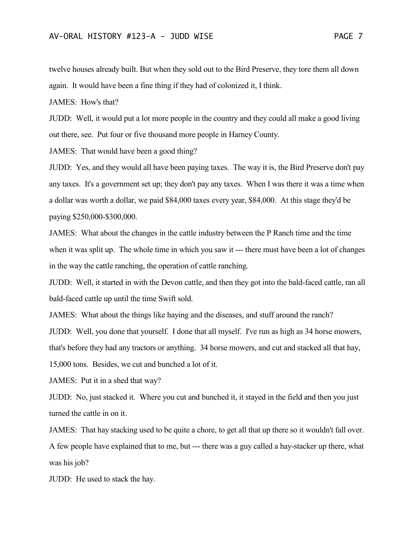twelve houses already built. But when they sold out to the Bird Preserve, they tore them all down again. It would have been a fine thing if they had of colonized it, I think.

JAMES: How's that?

JUDD: Well, it would put a lot more people in the country and they could all make a good living out there, see. Put four or five thousand more people in Harney County.

JAMES: That would have been a good thing?

JUDD: Yes, and they would all have been paying taxes. The way it is, the Bird Preserve don't pay any taxes. It's a government set up; they don't pay any taxes. When I was there it was a time when a dollar was worth a dollar, we paid \$84,000 taxes every year, \$84,000. At this stage they'd be paying \$250,000-\$300,000.

JAMES: What about the changes in the cattle industry between the P Ranch time and the time when it was split up. The whole time in which you saw it --- there must have been a lot of changes in the way the cattle ranching, the operation of cattle ranching.

JUDD: Well, it started in with the Devon cattle, and then they got into the bald-faced cattle, ran all bald-faced cattle up until the time Swift sold.

JAMES: What about the things like haying and the diseases, and stuff around the ranch?

JUDD: Well, you done that yourself. I done that all myself. I've run as high as 34 horse mowers,

that's before they had any tractors or anything. 34 horse mowers, and cut and stacked all that hay,

15,000 tons. Besides, we cut and bunched a lot of it.

JAMES: Put it in a shed that way?

JUDD: No, just stacked it. Where you cut and bunched it, it stayed in the field and then you just turned the cattle in on it.

JAMES: That hay stacking used to be quite a chore, to get all that up there so it wouldn't fall over. A few people have explained that to me, but --- there was a guy called a hay-stacker up there, what was his job?

JUDD: He used to stack the hay.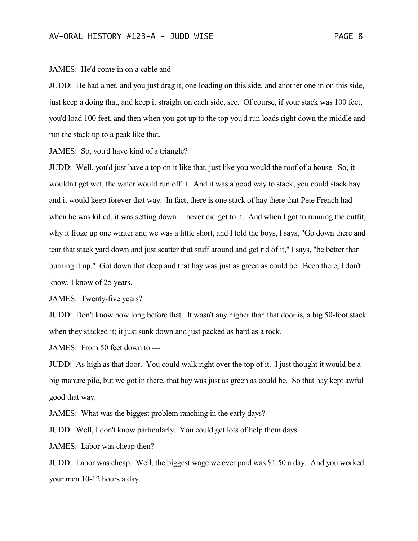JAMES: He'd come in on a cable and ---

JUDD: He had a net, and you just drag it, one loading on this side, and another one in on this side, just keep a doing that, and keep it straight on each side, see. Of course, if your stack was 100 feet, you'd load 100 feet, and then when you got up to the top you'd run loads right down the middle and run the stack up to a peak like that.

JAMES: So, you'd have kind of a triangle?

JUDD: Well, you'd just have a top on it like that, just like you would the roof of a house. So, it wouldn't get wet, the water would run off it. And it was a good way to stack, you could stack hay and it would keep forever that way. In fact, there is one stack of hay there that Pete French had when he was killed, it was setting down ... never did get to it. And when I got to running the outfit, why it froze up one winter and we was a little short, and I told the boys, I says, "Go down there and tear that stack yard down and just scatter that stuff around and get rid of it," I says, "be better than burning it up." Got down that deep and that hay was just as green as could be. Been there, I don't know, I know of 25 years.

JAMES: Twenty-five years?

JUDD: Don't know how long before that. It wasn't any higher than that door is, a big 50-foot stack when they stacked it; it just sunk down and just packed as hard as a rock.

JAMES: From 50 feet down to ---

JUDD: As high as that door. You could walk right over the top of it. I just thought it would be a big manure pile, but we got in there, that hay was just as green as could be. So that hay kept awful good that way.

JAMES: What was the biggest problem ranching in the early days?

JUDD: Well, I don't know particularly. You could get lots of help them days.

JAMES: Labor was cheap then?

JUDD: Labor was cheap. Well, the biggest wage we ever paid was \$1.50 a day. And you worked your men 10-12 hours a day.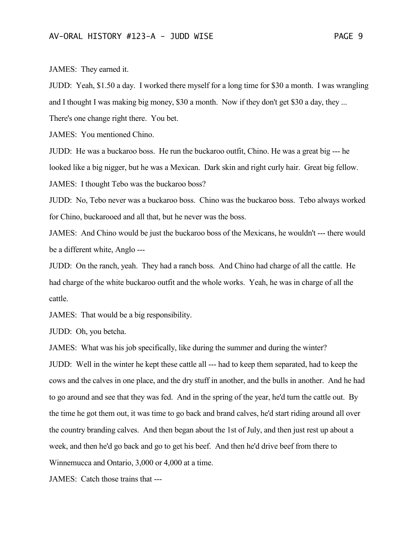JAMES: They earned it.

JUDD: Yeah, \$1.50 a day. I worked there myself for a long time for \$30 a month. I was wrangling and I thought I was making big money, \$30 a month. Now if they don't get \$30 a day, they ...

There's one change right there. You bet.

JAMES: You mentioned Chino.

JUDD: He was a buckaroo boss. He run the buckaroo outfit, Chino. He was a great big --- he looked like a big nigger, but he was a Mexican. Dark skin and right curly hair. Great big fellow. JAMES: I thought Tebo was the buckaroo boss?

JUDD: No, Tebo never was a buckaroo boss. Chino was the buckaroo boss. Tebo always worked for Chino, buckarooed and all that, but he never was the boss.

JAMES: And Chino would be just the buckaroo boss of the Mexicans, he wouldn't --- there would be a different white, Anglo ---

JUDD: On the ranch, yeah. They had a ranch boss. And Chino had charge of all the cattle. He had charge of the white buckaroo outfit and the whole works. Yeah, he was in charge of all the cattle.

JAMES: That would be a big responsibility.

JUDD: Oh, you betcha.

JAMES: What was his job specifically, like during the summer and during the winter?

JUDD: Well in the winter he kept these cattle all --- had to keep them separated, had to keep the cows and the calves in one place, and the dry stuff in another, and the bulls in another. And he had to go around and see that they was fed. And in the spring of the year, he'd turn the cattle out. By the time he got them out, it was time to go back and brand calves, he'd start riding around all over the country branding calves. And then began about the 1st of July, and then just rest up about a week, and then he'd go back and go to get his beef. And then he'd drive beef from there to Winnemucca and Ontario, 3,000 or 4,000 at a time.

JAMES: Catch those trains that ---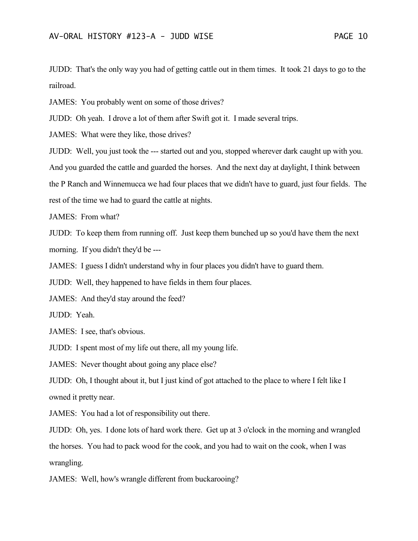JUDD: That's the only way you had of getting cattle out in them times. It took 21 days to go to the railroad.

JAMES: You probably went on some of those drives?

JUDD: Oh yeah. I drove a lot of them after Swift got it. I made several trips.

JAMES: What were they like, those drives?

JUDD: Well, you just took the --- started out and you, stopped wherever dark caught up with you. And you guarded the cattle and guarded the horses. And the next day at daylight, I think between the P Ranch and Winnemucca we had four places that we didn't have to guard, just four fields. The rest of the time we had to guard the cattle at nights.

JAMES: From what?

JUDD: To keep them from running off. Just keep them bunched up so you'd have them the next morning. If you didn't they'd be ---

JAMES: I guess I didn't understand why in four places you didn't have to guard them.

JUDD: Well, they happened to have fields in them four places.

JAMES: And they'd stay around the feed?

JUDD: Yeah.

JAMES: I see, that's obvious.

JUDD: I spent most of my life out there, all my young life.

JAMES: Never thought about going any place else?

JUDD: Oh, I thought about it, but I just kind of got attached to the place to where I felt like I owned it pretty near.

JAMES: You had a lot of responsibility out there.

JUDD: Oh, yes. I done lots of hard work there. Get up at 3 o'clock in the morning and wrangled the horses. You had to pack wood for the cook, and you had to wait on the cook, when I was wrangling.

JAMES: Well, how's wrangle different from buckarooing?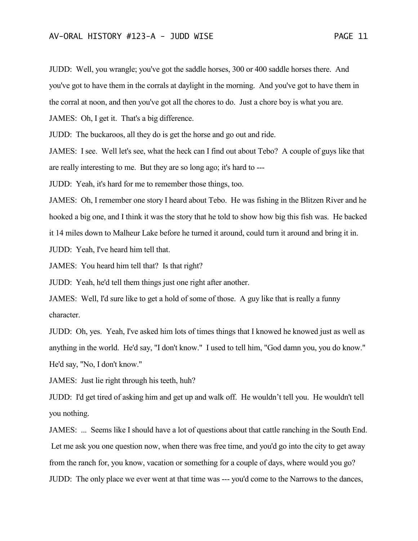JUDD: Well, you wrangle; you've got the saddle horses, 300 or 400 saddle horses there. And you've got to have them in the corrals at daylight in the morning. And you've got to have them in the corral at noon, and then you've got all the chores to do. Just a chore boy is what you are.

JAMES: Oh, I get it. That's a big difference.

JUDD: The buckaroos, all they do is get the horse and go out and ride.

JAMES: I see. Well let's see, what the heck can I find out about Tebo? A couple of guys like that are really interesting to me. But they are so long ago; it's hard to ---

JUDD: Yeah, it's hard for me to remember those things, too.

JAMES: Oh, I remember one story I heard about Tebo. He was fishing in the Blitzen River and he hooked a big one, and I think it was the story that he told to show how big this fish was. He backed it 14 miles down to Malheur Lake before he turned it around, could turn it around and bring it in.

JUDD: Yeah, I've heard him tell that.

JAMES: You heard him tell that? Is that right?

JUDD: Yeah, he'd tell them things just one right after another.

JAMES: Well, I'd sure like to get a hold of some of those. A guy like that is really a funny character.

JUDD: Oh, yes. Yeah, I've asked him lots of times things that I knowed he knowed just as well as anything in the world. He'd say, "I don't know." I used to tell him, "God damn you, you do know." He'd say, "No, I don't know."

JAMES: Just lie right through his teeth, huh?

JUDD: I'd get tired of asking him and get up and walk off. He wouldn't tell you. He wouldn't tell you nothing.

JAMES: ... Seems like I should have a lot of questions about that cattle ranching in the South End. Let me ask you one question now, when there was free time, and you'd go into the city to get away from the ranch for, you know, vacation or something for a couple of days, where would you go? JUDD: The only place we ever went at that time was --- you'd come to the Narrows to the dances,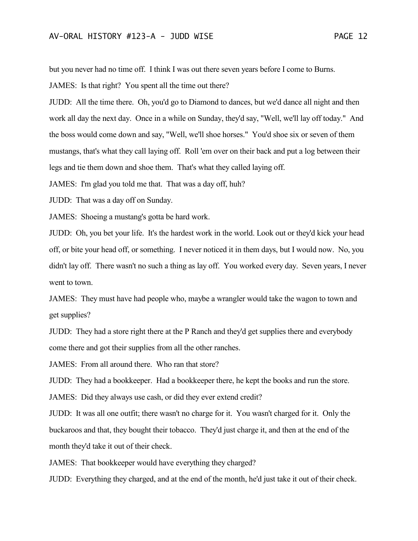but you never had no time off. I think I was out there seven years before I come to Burns.

JAMES: Is that right? You spent all the time out there?

JUDD: All the time there. Oh, you'd go to Diamond to dances, but we'd dance all night and then work all day the next day. Once in a while on Sunday, they'd say, "Well, we'll lay off today." And the boss would come down and say, "Well, we'll shoe horses." You'd shoe six or seven of them mustangs, that's what they call laying off. Roll 'em over on their back and put a log between their legs and tie them down and shoe them. That's what they called laying off.

JAMES: I'm glad you told me that. That was a day off, huh?

JUDD: That was a day off on Sunday.

JAMES: Shoeing a mustang's gotta be hard work.

JUDD: Oh, you bet your life. It's the hardest work in the world. Look out or they'd kick your head off, or bite your head off, or something. I never noticed it in them days, but I would now. No, you didn't lay off. There wasn't no such a thing as lay off. You worked every day. Seven years, I never went to town.

JAMES: They must have had people who, maybe a wrangler would take the wagon to town and get supplies?

JUDD: They had a store right there at the P Ranch and they'd get supplies there and everybody come there and got their supplies from all the other ranches.

JAMES: From all around there. Who ran that store?

JUDD: They had a bookkeeper. Had a bookkeeper there, he kept the books and run the store.

JAMES: Did they always use cash, or did they ever extend credit?

JUDD: It was all one outfit; there wasn't no charge for it. You wasn't charged for it. Only the buckaroos and that, they bought their tobacco. They'd just charge it, and then at the end of the month they'd take it out of their check.

JAMES: That bookkeeper would have everything they charged?

JUDD: Everything they charged, and at the end of the month, he'd just take it out of their check.